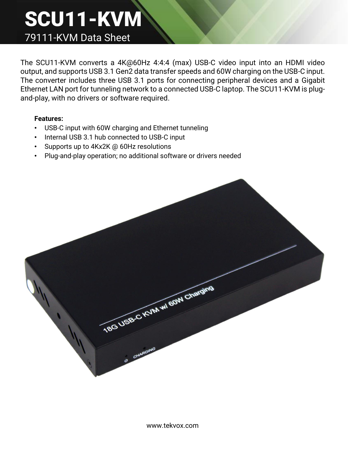## SCU11-KVM 79111-KVM Data Sheet

The SCU11-KVM converts a 4K@60Hz 4:4:4 (max) USB-C video input into an HDMI video output, and supports USB 3.1 Gen2 data transfer speeds and 60W charging on the USB-C input. The converter includes three USB 3.1 ports for connecting peripheral devices and a Gigabit Ethernet LAN port for tunneling network to a connected USB-C laptop. The SCU11-KVM is plugand-play, with no drivers or software required.

## **Features:**

- USB-C input with 60W charging and Ethernet tunneling
- Internal USB 3.1 hub connected to USB-C input
- Supports up to 4Kx2K @ 60Hz resolutions
- Plug-and-play operation; no additional software or drivers needed